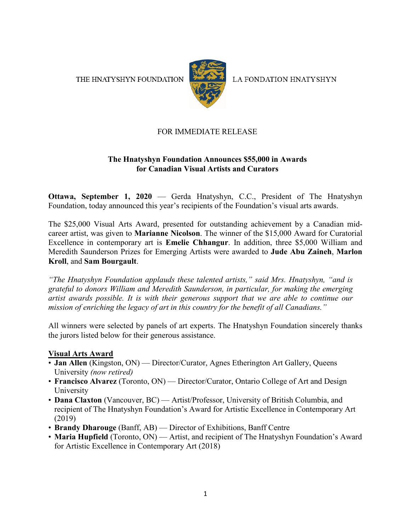THE HNATYSHYN FOUNDATION



LA FONDATION HNATYSHYN

## FOR IMMEDIATE RELEASE

## **The Hnatyshyn Foundation Announces \$55,000 in Awards for Canadian Visual Artists and Curators**

**Ottawa, September 1, 2020** — Gerda Hnatyshyn, C.C., President of The Hnatyshyn Foundation, today announced this year's recipients of the Foundation's visual arts awards.

The \$25,000 Visual Arts Award, presented for outstanding achievement by a Canadian midcareer artist, was given to **Marianne Nicolson**. The winner of the \$15,000 Award for Curatorial Excellence in contemporary art is **Emelie Chhangur**. In addition, three \$5,000 William and Meredith Saunderson Prizes for Emerging Artists were awarded to **Jude Abu Zaineh**, **Marlon Kroll**, and **Sam Bourgault**.

*"The Hnatyshyn Foundation applauds these talented artists," said Mrs. Hnatyshyn, "and is grateful to donors William and Meredith Saunderson, in particular, for making the emerging artist awards possible. It is with their generous support that we are able to continue our mission of enriching the legacy of art in this country for the benefit of all Canadians."*

All winners were selected by panels of art experts. The Hnatyshyn Foundation sincerely thanks the jurors listed below for their generous assistance.

#### **Visual Arts Award**

- **Jan Allen** (Kingston, ON) Director/Curator, Agnes Etherington Art Gallery, Queens University *(now retired)*
- **Francisco Alvarez** (Toronto, ON) Director/Curator, Ontario College of Art and Design University
- **Dana Claxton** (Vancouver, BC) Artist/Professor, University of British Columbia, and recipient of The Hnatyshyn Foundation's Award for Artistic Excellence in Contemporary Art (2019)
- **Brandy Dharouge** (Banff, AB) Director of Exhibitions, Banff Centre
- **Maria Hupfield** (Toronto, ON) Artist, and recipient of The Hnatyshyn Foundation's Award for Artistic Excellence in Contemporary Art (2018)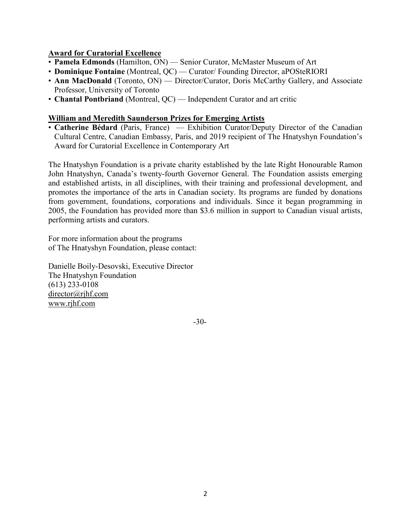## **Award for Curatorial Excellence**

- **Pamela Edmonds** (Hamilton, ON) Senior Curator, McMaster Museum of Art
- **Dominique Fontaine** (Montreal, QC) Curator/ Founding Director, aPOSteRIORI
- **Ann MacDonald** (Toronto, ON) Director/Curator, Doris McCarthy Gallery, and Associate Professor, University of Toronto
- **Chantal Pontbriand** (Montreal, QC) Independent Curator and art critic

#### **William and Meredith Saunderson Prizes for Emerging Artists**

• **Catherine Bédard** (Paris, France) — Exhibition Curator/Deputy Director of the Canadian Cultural Centre, Canadian Embassy, Paris, and 2019 recipient of The Hnatyshyn Foundation's Award for Curatorial Excellence in Contemporary Art

The Hnatyshyn Foundation is a private charity established by the late Right Honourable Ramon John Hnatyshyn, Canada's twenty-fourth Governor General. The Foundation assists emerging and established artists, in all disciplines, with their training and professional development, and promotes the importance of the arts in Canadian society. Its programs are funded by donations from government, foundations, corporations and individuals. Since it began programming in 2005, the Foundation has provided more than \$3.6 million in support to Canadian visual artists, performing artists and curators.

For more information about the programs of The Hnatyshyn Foundation, please contact:

Danielle Boily-Desovski, Executive Director The Hnatyshyn Foundation (613) 233-0108 [director@rjhf.com](mailto:director@rjhf.com) [www.rjhf.com](http://www.rjhf.com/)

-30-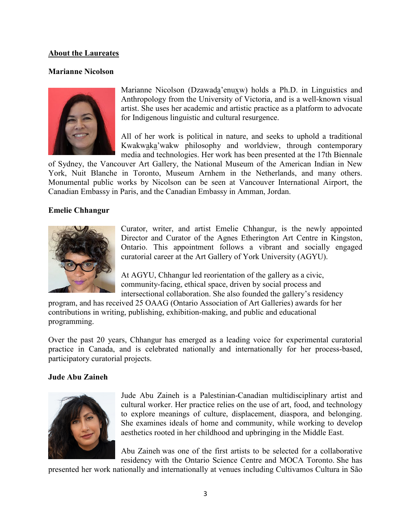#### **About the Laureates**

#### **Marianne Nicolson**



Marianne Nicolson (Dzawada'enuxw) holds a Ph.D. in Linguistics and Anthropology from the University of Victoria, and is a well-known visual artist. She uses her academic and artistic practice as a platform to advocate for Indigenous linguistic and cultural resurgence.

All of her work is political in nature, and seeks to uphold a traditional Kwakwaka'wakw philosophy and worldview, through contemporary media and technologies. Her work has been presented at the 17th Biennale

of Sydney, the Vancouver Art Gallery, the National Museum of the American Indian in New York, Nuit Blanche in Toronto, Museum Arnhem in the Netherlands, and many others. Monumental public works by Nicolson can be seen at Vancouver International Airport, the Canadian Embassy in Paris, and the Canadian Embassy in Amman, Jordan.

## **Emelie Chhangur**



Curator, writer, and artist Emelie Chhangur, is the newly appointed Director and Curator of the Agnes Etherington Art Centre in Kingston, Ontario. This appointment follows a vibrant and socially engaged curatorial career at the Art Gallery of York University (AGYU).

At AGYU, Chhangur led reorientation of the gallery as a civic, community-facing, ethical space, driven by social process and intersectional collaboration. She also founded the gallery's residency

program, and has received 25 OAAG (Ontario Association of Art Galleries) awards for her contributions in writing, publishing, exhibition-making, and public and educational programming.

Over the past 20 years, Chhangur has emerged as a leading voice for experimental curatorial practice in Canada, and is celebrated nationally and internationally for her process-based, participatory curatorial projects.

#### **Jude Abu Zaineh**



Jude Abu Zaineh is a Palestinian-Canadian multidisciplinary artist and cultural worker. Her practice relies on the use of art, food, and technology to explore meanings of culture, displacement, diaspora, and belonging. She examines ideals of home and community, while working to develop aesthetics rooted in her childhood and upbringing in the Middle East.

Abu Zaineh was one of the first artists to be selected for a collaborative residency with the Ontario Science Centre and MOCA Toronto. She has

presented her work nationally and internationally at venues including Cultivamos Cultura in São